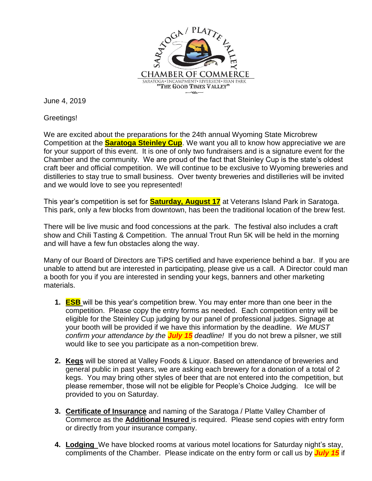

June 4, 2019

Greetings!

We are excited about the preparations for the 24th annual Wyoming State Microbrew Competition at the **Saratoga Steinley Cup**. We want you all to know how appreciative we are for your support of this event. It is one of only two fundraisers and is a signature event for the Chamber and the community. We are proud of the fact that Steinley Cup is the state's oldest craft beer and official competition. We will continue to be exclusive to Wyoming breweries and distilleries to stay true to small business. Over twenty breweries and distilleries will be invited and we would love to see you represented!

This year's competition is set for **Saturday, August 17** at Veterans Island Park in Saratoga. This park, only a few blocks from downtown, has been the traditional location of the brew fest.

There will be live music and food concessions at the park. The festival also includes a craft show and Chili Tasting & Competition. The annual Trout Run 5K will be held in the morning and will have a few fun obstacles along the way.

Many of our Board of Directors are TiPS certified and have experience behind a bar. If you are unable to attend but are interested in participating, please give us a call. A Director could man a booth for you if you are interested in sending your kegs, banners and other marketing materials.

- **1. ESB** will be this year's competition brew. You may enter more than one beer in the competition. Please copy the entry forms as needed. Each competition entry will be eligible for the Steinley Cup judging by our panel of professional judges. Signage at your booth will be provided if we have this information by the deadline. *We MUST confirm your attendance by the July 15 deadline!* If you do not brew a pilsner, we still would like to see you participate as a non-competition brew.
- **2. Kegs** will be stored at Valley Foods & Liquor. Based on attendance of breweries and general public in past years, we are asking each brewery for a donation of a total of 2 kegs. You may bring other styles of beer that are not entered into the competition, but please remember, those will not be eligible for People's Choice Judging. Ice will be provided to you on Saturday.
- **3. Certificate of Insurance** and naming of the Saratoga / Platte Valley Chamber of Commerce as the **Additional Insured** is required. Please send copies with entry form or directly from your insurance company.
- **4. Lodging** We have blocked rooms at various motel locations for Saturday night's stay, compliments of the Chamber. Please indicate on the entry form or call us by *July 15* if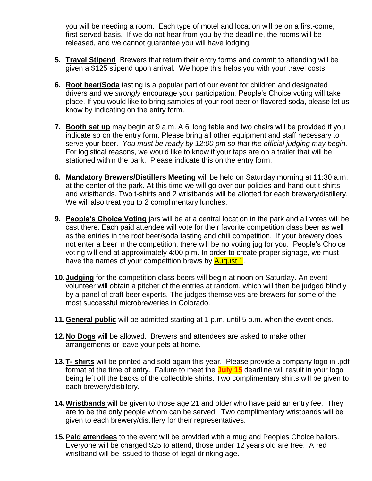you will be needing a room. Each type of motel and location will be on a first-come, first-served basis. If we do not hear from you by the deadline, the rooms will be released, and we cannot guarantee you will have lodging.

- **5. Travel Stipend** Brewers that return their entry forms and commit to attending will be given a \$125 stipend upon arrival. We hope this helps you with your travel costs.
- **6. Root beer/Soda** tasting is a popular part of our event for children and designated drivers and we *strongly* encourage your participation*.* People's Choice voting will take place. If you would like to bring samples of your root beer or flavored soda, please let us know by indicating on the entry form.
- **7. Booth set up** may begin at 9 a.m. A 6' long table and two chairs will be provided if you indicate so on the entry form. Please bring all other equipment and staff necessary to serve your beer. *You must be ready by 12:00 pm so that the official judging may begin.*  For logistical reasons, we would like to know if your taps are on a trailer that will be stationed within the park. Please indicate this on the entry form.
- **8. Mandatory Brewers/Distillers Meeting** will be held on Saturday morning at 11:30 a.m. at the center of the park. At this time we will go over our policies and hand out t-shirts and wristbands. Two t-shirts and 2 wristbands will be allotted for each brewery/distillery. We will also treat you to 2 complimentary lunches.
- **9. People's Choice Voting** jars will be at a central location in the park and all votes will be cast there. Each paid attendee will vote for their favorite competition class beer as well as the entries in the root beer/soda tasting and chili competition. If your brewery does not enter a beer in the competition, there will be no voting jug for you. People's Choice voting will end at approximately 4:00 p.m. In order to create proper signage, we must have the names of your competition brews by **August 1**.
- **10.Judging** for the competition class beers will begin at noon on Saturday. An event volunteer will obtain a pitcher of the entries at random, which will then be judged blindly by a panel of craft beer experts. The judges themselves are brewers for some of the most successful microbreweries in Colorado.
- **11.General public** will be admitted starting at 1 p.m. until 5 p.m. when the event ends.
- **12.No Dogs** will be allowed. Brewers and attendees are asked to make other arrangements or leave your pets at home.
- **13.T- shirts** will be printed and sold again this year. Please provide a company logo in .pdf format at the time of entry. Failure to meet the **July 15** deadline will result in your logo being left off the backs of the collectible shirts. Two complimentary shirts will be given to each brewery/distillery.
- **14.Wristbands** will be given to those age 21 and older who have paid an entry fee. They are to be the only people whom can be served. Two complimentary wristbands will be given to each brewery/distillery for their representatives.
- **15.Paid attendees** to the event will be provided with a mug and Peoples Choice ballots. Everyone will be charged \$25 to attend, those under 12 years old are free. A red wristband will be issued to those of legal drinking age.